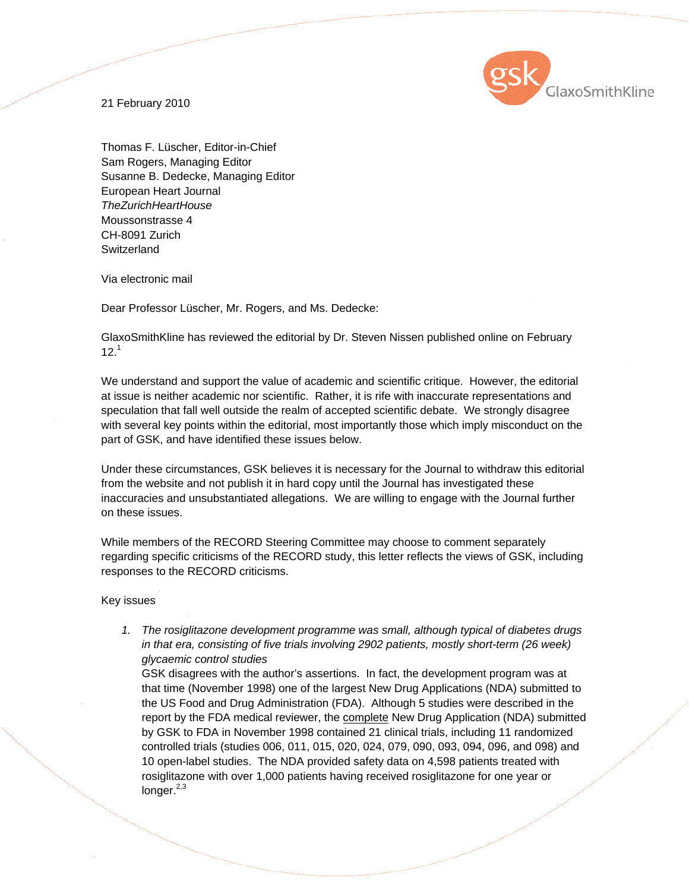

21 February 2010

Thomas F. Lüscher, Editor-in-Chief Sam Rogers, Managing Editor Susanne B. Dedecke, Managing Editor European Heart Journal *TheZurichHeartHouse* Moussonstrasse 4 CH-8091 Zurich **Switzerland** 

Via electronic mail

Dear Professor Lüscher, Mr. Rogers, and Ms. Dedecke:

GlaxoSmithKline has reviewed the editorial by Dr. Steven Nissen published online on February  $12<sup>1</sup>$ 

We understand and support the value of academic and scientific critique. However, the editorial at issue is neither academic nor scientific. Rather, it is rife with inaccurate representations and speculation that fall well outside the realm of accepted scientific debate. We strongly disagree with several key points within the editorial, most importantly those which imply misconduct on the part of GSK, and have identified these issues below.

Under these circumstances, GSK believes it is necessary for the Journal to withdraw this editorial from the website and not publish it in hard copy until the Journal has investigated these inaccuracies and unsubstantiated allegations. We are willing to engage with the Journal further on these issues.

While members of the RECORD Steering Committee may choose to comment separately regarding specific criticisms of the RECORD study, this letter reflects the views of GSK, including responses to the RECORD criticisms.

Key issues

*1. The rosiglitazone development programme was small, although typical of diabetes drugs in that era, consisting of five trials involving 2902 patients, mostly short-term (26 week) glycaemic control studies* 

GSK disagrees with the author's assertions. In fact, the development program was at that time (November 1998) one of the largest New Drug Applications (NDA) submitted to the US Food and Drug Administration (FDA). Although 5 studies were described in the report by the FDA medical reviewer, the complete New Drug Application (NDA) submitted by GSK to FDA in November 1998 contained 21 clinical trials, including 11 randomized controlled trials (studies 006, 011, 015, 020, 024, 079, 090, 093, 094, 096, and 098) and 10 open-label studies. The NDA provided safety data on 4,598 patients treated with rosiglitazone with over 1,000 patients having received rosiglitazone for one year or longer. $^{2,3}$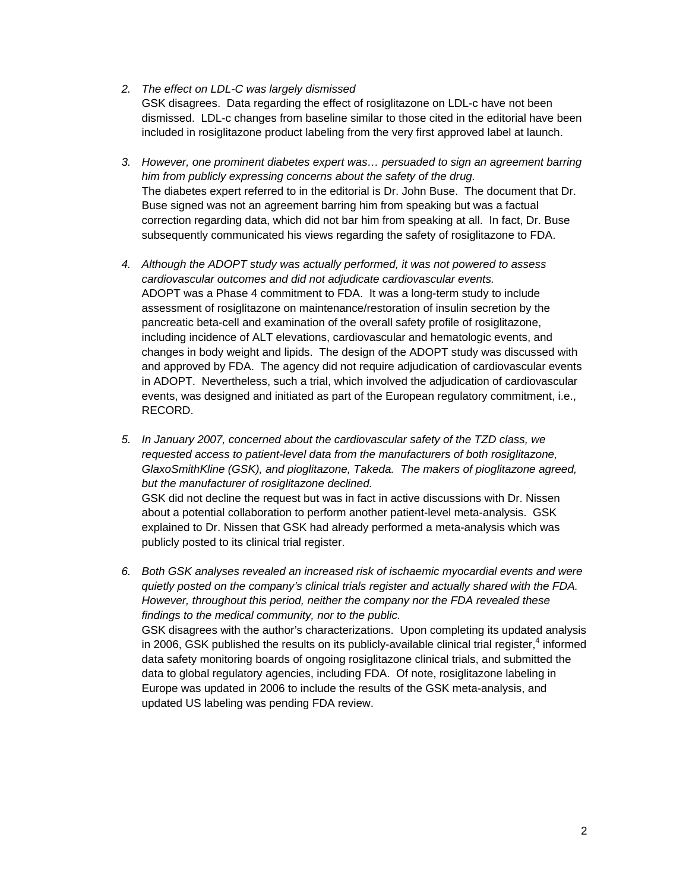- *2. The effect on LDL-C was largely dismissed*  GSK disagrees. Data regarding the effect of rosiglitazone on LDL-c have not been dismissed. LDL-c changes from baseline similar to those cited in the editorial have been included in rosiglitazone product labeling from the very first approved label at launch.
- *3. However, one prominent diabetes expert was… persuaded to sign an agreement barring him from publicly expressing concerns about the safety of the drug.*  The diabetes expert referred to in the editorial is Dr. John Buse. The document that Dr. Buse signed was not an agreement barring him from speaking but was a factual correction regarding data, which did not bar him from speaking at all. In fact, Dr. Buse subsequently communicated his views regarding the safety of rosiglitazone to FDA.
- *4. Although the ADOPT study was actually performed, it was not powered to assess cardiovascular outcomes and did not adjudicate cardiovascular events.*  ADOPT was a Phase 4 commitment to FDA. It was a long-term study to include assessment of rosiglitazone on maintenance/restoration of insulin secretion by the pancreatic beta-cell and examination of the overall safety profile of rosiglitazone, including incidence of ALT elevations, cardiovascular and hematologic events, and changes in body weight and lipids. The design of the ADOPT study was discussed with and approved by FDA. The agency did not require adjudication of cardiovascular events in ADOPT. Nevertheless, such a trial, which involved the adjudication of cardiovascular events, was designed and initiated as part of the European regulatory commitment, i.e., RECORD.
- *5. In January 2007, concerned about the cardiovascular safety of the TZD class, we requested access to patient-level data from the manufacturers of both rosiglitazone, GlaxoSmithKline (GSK), and pioglitazone, Takeda. The makers of pioglitazone agreed, but the manufacturer of rosiglitazone declined.*  GSK did not decline the request but was in fact in active discussions with Dr. Nissen about a potential collaboration to perform another patient-level meta-analysis. GSK explained to Dr. Nissen that GSK had already performed a meta-analysis which was publicly posted to its clinical trial register.
- *6. Both GSK analyses revealed an increased risk of ischaemic myocardial events and were quietly posted on the company's clinical trials register and actually shared with the FDA. However, throughout this period, neither the company nor the FDA revealed these findings to the medical community, nor to the public.*  GSK disagrees with the author's characterizations. Upon completing its updated analysis in 2006, GSK published the results on its publicly-available clinical trial register,<sup>4</sup> informed data safety monitoring boards of ongoing rosiglitazone clinical trials, and submitted the data to global regulatory agencies, including FDA. Of note, rosiglitazone labeling in Europe was updated in 2006 to include the results of the GSK meta-analysis, and updated US labeling was pending FDA review.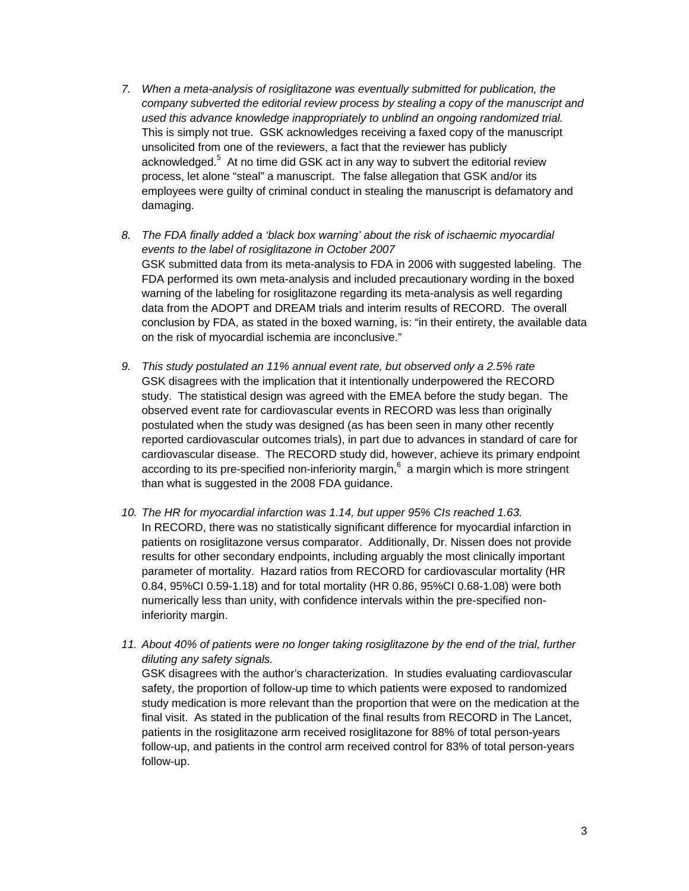- *7. When a meta-analysis of rosiglitazone was eventually submitted for publication, the company subverted the editorial review process by stealing a copy of the manuscript and used this advance knowledge inappropriately to unblind an ongoing randomized trial.*  This is simply not true. GSK acknowledges receiving a faxed copy of the manuscript unsolicited from one of the reviewers, a fact that the reviewer has publicly acknowledged.<sup>5</sup> At no time did GSK act in any way to subvert the editorial review process, let alone "steal" a manuscript. The false allegation that GSK and/or its employees were guilty of criminal conduct in stealing the manuscript is defamatory and damaging.
- *8. The FDA finally added a 'black box warning' about the risk of ischaemic myocardial events to the label of rosiglitazone in October 2007*  GSK submitted data from its meta-analysis to FDA in 2006 with suggested labeling. The FDA performed its own meta-analysis and included precautionary wording in the boxed warning of the labeling for rosiglitazone regarding its meta-analysis as well regarding data from the ADOPT and DREAM trials and interim results of RECORD. The overall conclusion by FDA, as stated in the boxed warning, is: "in their entirety, the available data on the risk of myocardial ischemia are inconclusive."
- *9. This study postulated an 11% annual event rate, but observed only a 2.5% rate*  GSK disagrees with the implication that it intentionally underpowered the RECORD study. The statistical design was agreed with the EMEA before the study began. The observed event rate for cardiovascular events in RECORD was less than originally postulated when the study was designed (as has been seen in many other recently reported cardiovascular outcomes trials), in part due to advances in standard of care for cardiovascular disease. The RECORD study did, however, achieve its primary endpoint according to its pre-specified non-inferiority margin,  $6$  a margin which is more stringent than what is suggested in the 2008 FDA guidance.
- *10. The HR for myocardial infarction was 1.14, but upper 95% CIs reached 1.63.*  In RECORD, there was no statistically significant difference for myocardial infarction in patients on rosiglitazone versus comparator. Additionally, Dr. Nissen does not provide results for other secondary endpoints, including arguably the most clinically important parameter of mortality. Hazard ratios from RECORD for cardiovascular mortality (HR 0.84, 95%CI 0.59-1.18) and for total mortality (HR 0.86, 95%CI 0.68-1.08) were both numerically less than unity, with confidence intervals within the pre-specified noninferiority margin.
- *11. About 40% of patients were no longer taking rosiglitazone by the end of the trial, further diluting any safety signals.*  GSK disagrees with the author's characterization. In studies evaluating cardiovascular

safety, the proportion of follow-up time to which patients were exposed to randomized study medication is more relevant than the proportion that were on the medication at the final visit. As stated in the publication of the final results from RECORD in The Lancet, patients in the rosiglitazone arm received rosiglitazone for 88% of total person-years follow-up, and patients in the control arm received control for 83% of total person-years follow-up.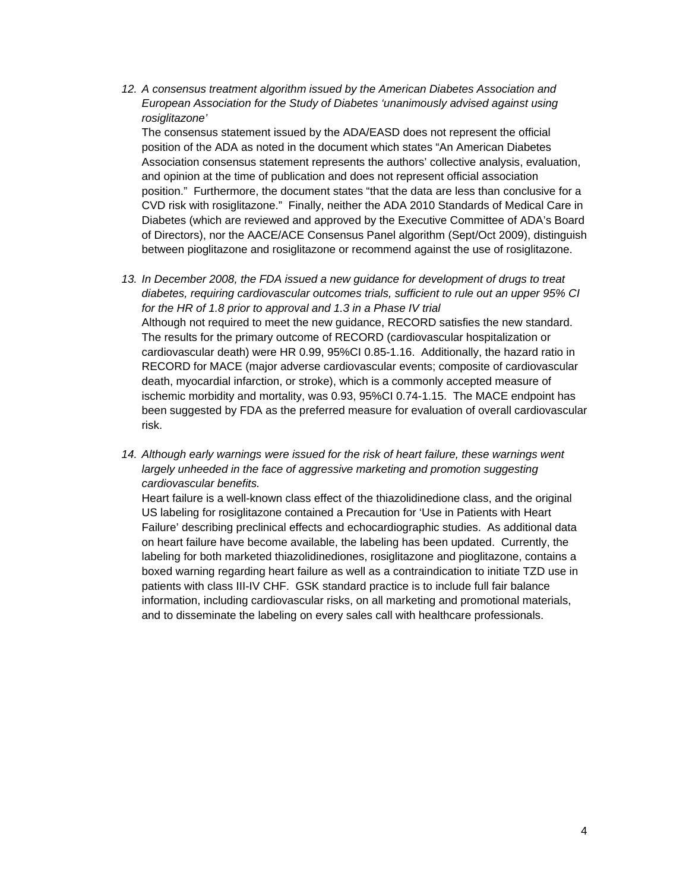12. A consensus treatment algorithm issued by the American Diabetes Association and *European Association for the Study of Diabetes 'unanimously advised against using rosiglitazone'* 

The consensus statement issued by the ADA/EASD does not represent the official position of the ADA as noted in the document which states "An American Diabetes Association consensus statement represents the authors' collective analysis, evaluation, and opinion at the time of publication and does not represent official association position." Furthermore, the document states "that the data are less than conclusive for a CVD risk with rosiglitazone." Finally, neither the ADA 2010 Standards of Medical Care in Diabetes (which are reviewed and approved by the Executive Committee of ADA's Board of Directors), nor the AACE/ACE Consensus Panel algorithm (Sept/Oct 2009), distinguish between pioglitazone and rosiglitazone or recommend against the use of rosiglitazone.

- *13. In December 2008, the FDA issued a new guidance for development of drugs to treat diabetes, requiring cardiovascular outcomes trials, sufficient to rule out an upper 95% CI for the HR of 1.8 prior to approval and 1.3 in a Phase IV trial*  Although not required to meet the new guidance, RECORD satisfies the new standard. The results for the primary outcome of RECORD (cardiovascular hospitalization or cardiovascular death) were HR 0.99, 95%CI 0.85-1.16. Additionally, the hazard ratio in RECORD for MACE (major adverse cardiovascular events; composite of cardiovascular death, myocardial infarction, or stroke), which is a commonly accepted measure of ischemic morbidity and mortality, was 0.93, 95%CI 0.74-1.15. The MACE endpoint has been suggested by FDA as the preferred measure for evaluation of overall cardiovascular risk.
- 14. Although early warnings were issued for the risk of heart failure, these warnings went *largely unheeded in the face of aggressive marketing and promotion suggesting cardiovascular benefits.*

Heart failure is a well-known class effect of the thiazolidinedione class, and the original US labeling for rosiglitazone contained a Precaution for 'Use in Patients with Heart Failure' describing preclinical effects and echocardiographic studies. As additional data on heart failure have become available, the labeling has been updated. Currently, the labeling for both marketed thiazolidinediones, rosiglitazone and pioglitazone, contains a boxed warning regarding heart failure as well as a contraindication to initiate TZD use in patients with class III-IV CHF. GSK standard practice is to include full fair balance information, including cardiovascular risks, on all marketing and promotional materials, and to disseminate the labeling on every sales call with healthcare professionals.